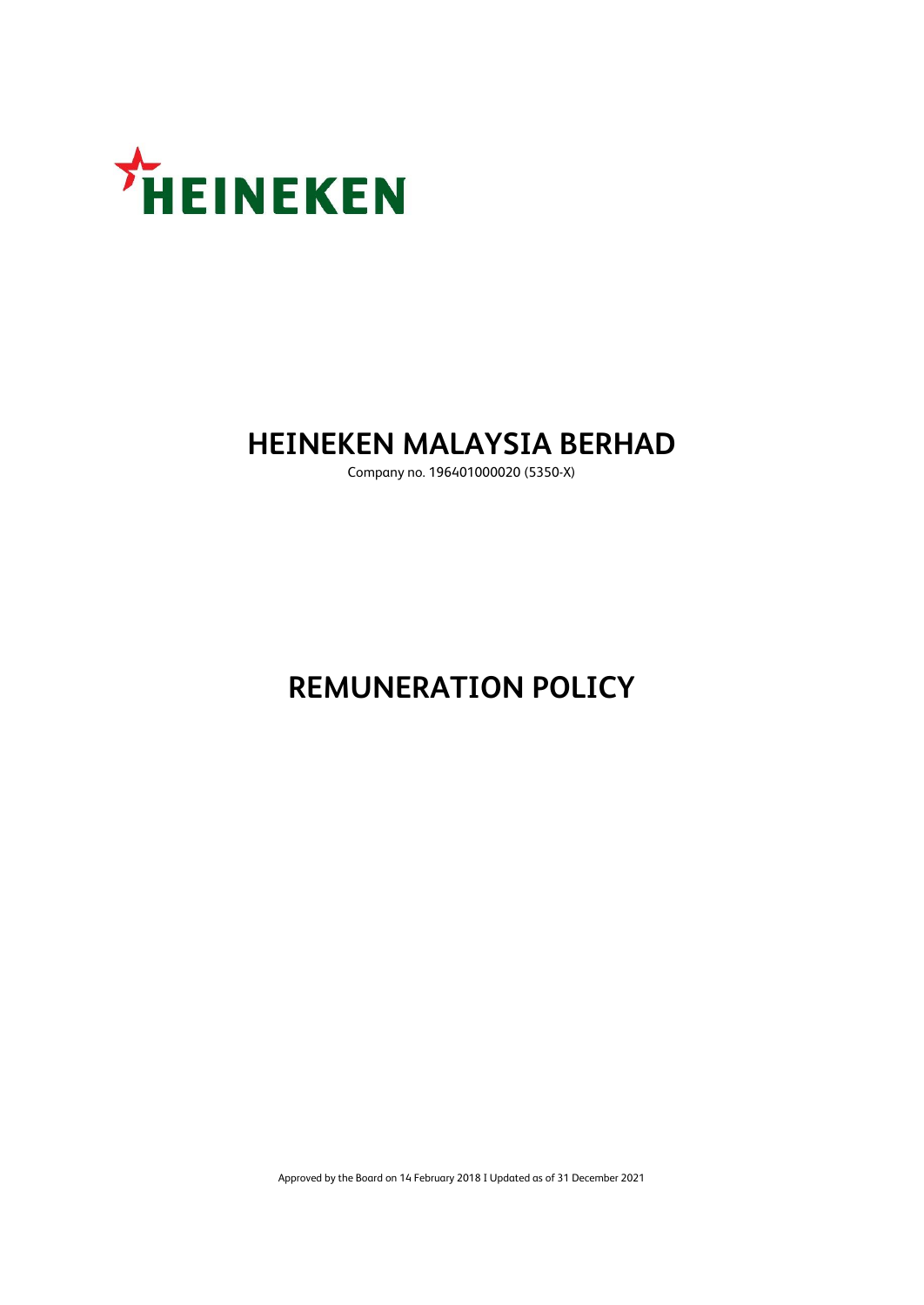

# **HEINEKEN MALAYSIA BERHAD**

Company no. 196401000020 (5350-X)

# **REMUNERATION POLICY**

Approved by the Board on 14 February 2018 I Updated as of 31 December 2021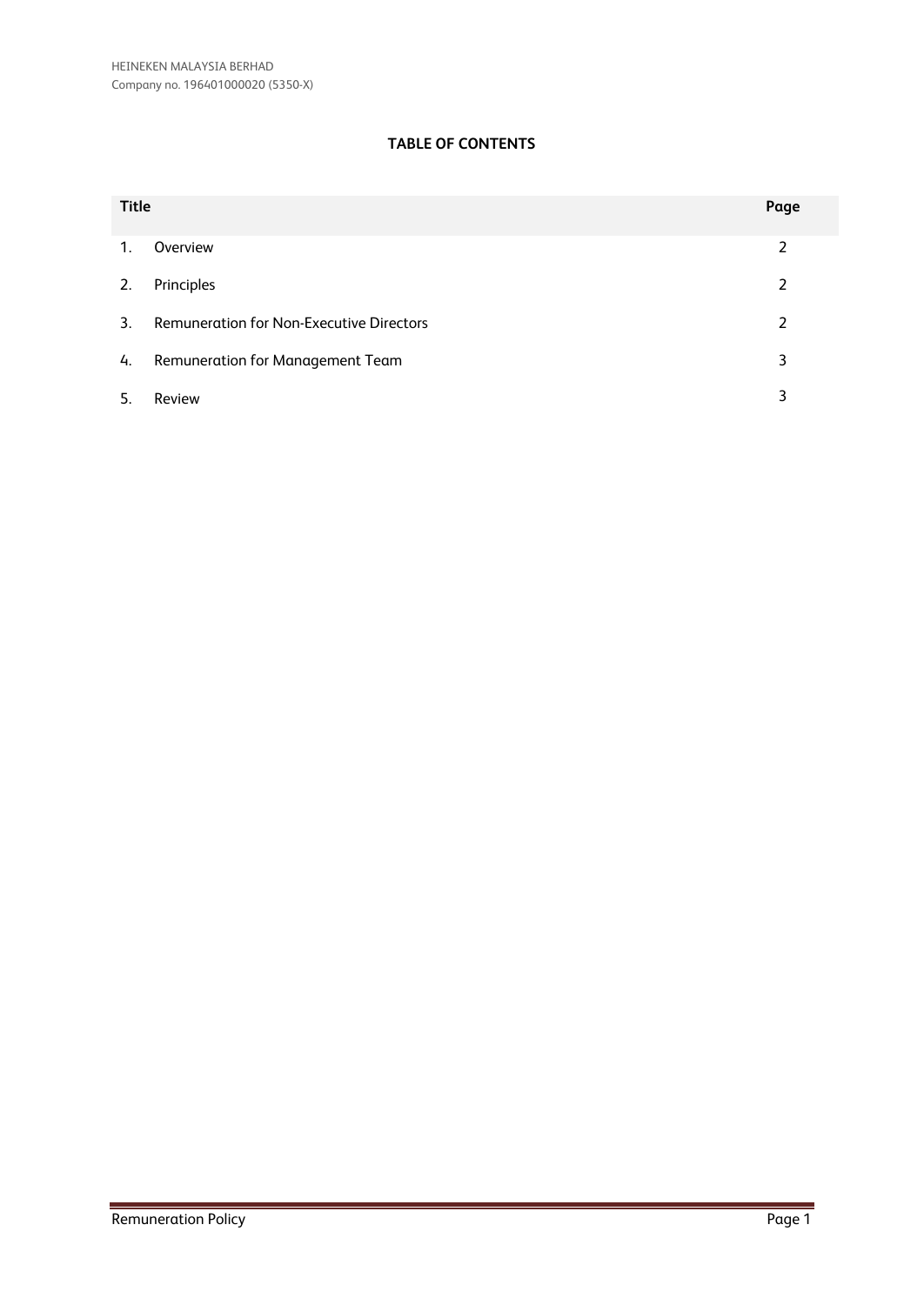# **TABLE OF CONTENTS**

| <b>Title</b>   |                                                 | Page |
|----------------|-------------------------------------------------|------|
| $\mathbf{1}$ . | Overview                                        | 2    |
| 2.             | Principles                                      | 2    |
| 3 <sub>1</sub> | <b>Remuneration for Non-Executive Directors</b> | 2    |
| 4.             | <b>Remuneration for Management Team</b>         | 3    |
| -5.            | Review                                          | 3    |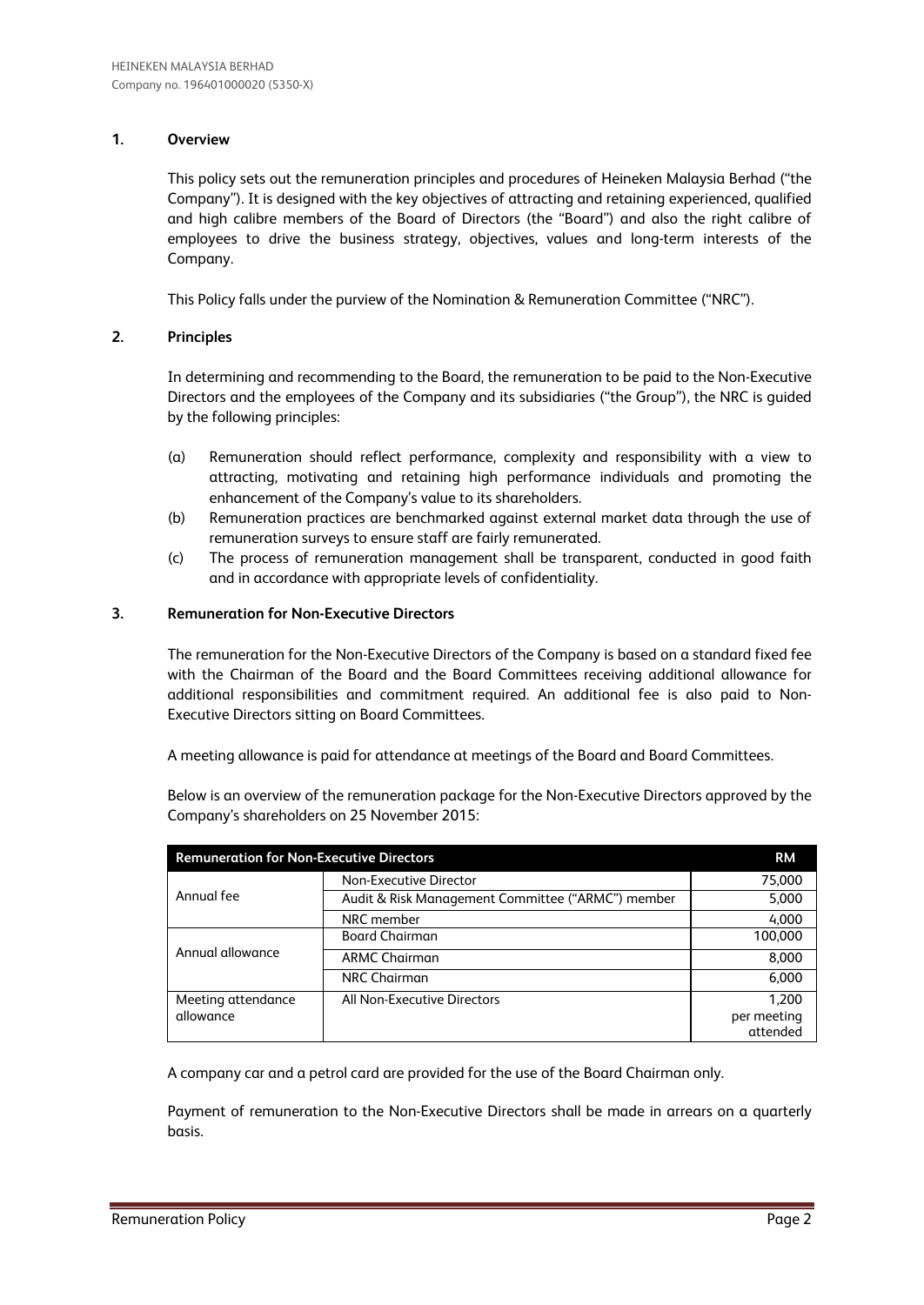## **1. Overview**

This policy sets out the remuneration principles and procedures of Heineken Malaysia Berhad ("the Company"). It is designed with the key objectives of attracting and retaining experienced, qualified and high calibre members of the Board of Directors (the "Board") and also the right calibre of employees to drive the business strategy, objectives, values and long-term interests of the Company.

This Policy falls under the purview of the Nomination & Remuneration Committee ("NRC").

## **2. Principles**

In determining and recommending to the Board, the remuneration to be paid to the Non-Executive Directors and the employees of the Company and its subsidiaries ("the Group"), the NRC is guided by the following principles:

- (a) Remuneration should reflect performance, complexity and responsibility with a view to attracting, motivating and retaining high performance individuals and promoting the enhancement of the Company's value to its shareholders.
- (b) Remuneration practices are benchmarked against external market data through the use of remuneration surveys to ensure staff are fairly remunerated.
- (c) The process of remuneration management shall be transparent, conducted in good faith and in accordance with appropriate levels of confidentiality.

#### **3. Remuneration for Non-Executive Directors**

The remuneration for the Non-Executive Directors of the Company is based on a standard fixed fee with the Chairman of the Board and the Board Committees receiving additional allowance for additional responsibilities and commitment required. An additional fee is also paid to Non-Executive Directors sitting on Board Committees.

A meeting allowance is paid for attendance at meetings of the Board and Board Committees.

Below is an overview of the remuneration package for the Non-Executive Directors approved by the Company's shareholders on 25 November 2015:

| <b>RM</b><br><b>Remuneration for Non-Executive Directors</b> |                                                   |                                  |  |  |
|--------------------------------------------------------------|---------------------------------------------------|----------------------------------|--|--|
|                                                              | Non-Executive Director                            | 75,000                           |  |  |
| Annual fee                                                   | Audit & Risk Management Committee ("ARMC") member | 5,000                            |  |  |
|                                                              | NRC member                                        | 4,000                            |  |  |
|                                                              | <b>Board Chairman</b>                             | 100,000                          |  |  |
| Annual allowance                                             | <b>ARMC Chairman</b>                              | 8,000                            |  |  |
|                                                              | NRC Chairman                                      | 6,000                            |  |  |
| Meeting attendance<br>allowance                              | All Non-Executive Directors                       | 1.200<br>per meeting<br>attended |  |  |

A company car and a petrol card are provided for the use of the Board Chairman only.

Payment of remuneration to the Non-Executive Directors shall be made in arrears on a quarterly basis.